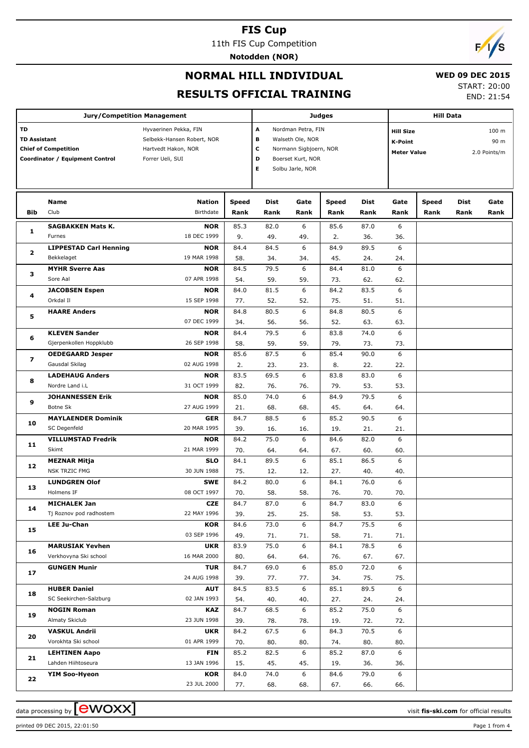11th FIS Cup Competition

**Notodden (NOR)**



## **NORMAL HILL INDIVIDUAL**

 **WED 09 DEC 2015**

### **RESULTS OFFICIAL TRAINING**

START: 20:00

END: 21:54

|                                                                                                    | <b>Jury/Competition Management</b>        |                                                                                                | <b>Judges</b>         |                                                                                                           | <b>Hill Data</b> |                                                                                           |              |              |                      |                     |              |
|----------------------------------------------------------------------------------------------------|-------------------------------------------|------------------------------------------------------------------------------------------------|-----------------------|-----------------------------------------------------------------------------------------------------------|------------------|-------------------------------------------------------------------------------------------|--------------|--------------|----------------------|---------------------|--------------|
| <b>TD</b><br><b>TD Assistant</b><br><b>Chief of Competition</b><br>Coordinator / Equipment Control |                                           | Hyvaerinen Pekka, FIN<br>Selbekk-Hansen Robert, NOR<br>Hartvedt Hakon, NOR<br>Forrer Ueli, SUI | A<br>в<br>c<br>D<br>Е | Nordman Petra, FIN<br>Walseth Ole, NOR<br>Normann Sigbjoern, NOR<br>Boerset Kurt, NOR<br>Solbu Jarle, NOR |                  | 100 m<br><b>Hill Size</b><br>90 m<br><b>K-Point</b><br>2.0 Points/m<br><b>Meter Value</b> |              |              |                      |                     |              |
| Bib                                                                                                | Name<br>Club                              | <b>Nation</b><br>Birthdate                                                                     | <b>Speed</b><br>Rank  | Dist<br>Rank                                                                                              | Gate<br>Rank     | <b>Speed</b><br>Rank                                                                      | Dist<br>Rank | Gate<br>Rank | <b>Speed</b><br>Rank | <b>Dist</b><br>Rank | Gate<br>Rank |
| 1                                                                                                  | <b>SAGBAKKEN Mats K.</b>                  | <b>NOR</b>                                                                                     | 85.3                  | 82.0                                                                                                      | 6                | 85.6                                                                                      | 87.0         | 6            |                      |                     |              |
|                                                                                                    | Furnes                                    | 18 DEC 1999                                                                                    | 9.                    | 49.                                                                                                       | 49.              | 2.                                                                                        | 36.          | 36.          |                      |                     |              |
| 2                                                                                                  | <b>LIPPESTAD Carl Henning</b>             | <b>NOR</b>                                                                                     | 84.4                  | 84.5                                                                                                      | 6                | 84.9                                                                                      | 89.5         | 6            |                      |                     |              |
|                                                                                                    | Bekkelaget                                | 19 MAR 1998                                                                                    | 58.                   | 34.                                                                                                       | 34.              | 45.                                                                                       | 24.          | 24.          |                      |                     |              |
| з                                                                                                  | <b>MYHR Sverre Aas</b>                    | <b>NOR</b>                                                                                     | 84.5                  | 79.5                                                                                                      | 6                | 84.4                                                                                      | 81.0         | 6            |                      |                     |              |
|                                                                                                    | Sore Aal                                  | 07 APR 1998                                                                                    | 54.                   | 59.                                                                                                       | 59.              | 73.                                                                                       | 62.          | 62.          |                      |                     |              |
| 4                                                                                                  | <b>JACOBSEN Espen</b>                     | <b>NOR</b>                                                                                     | 84.0                  | 81.5                                                                                                      | 6                | 84.2                                                                                      | 83.5         | 6            |                      |                     |              |
|                                                                                                    | Orkdal II                                 | 15 SEP 1998                                                                                    | 77.                   | 52.                                                                                                       | 52.              | 75.                                                                                       | 51.          | 51.          |                      |                     |              |
| 5                                                                                                  | <b>HAARE Anders</b>                       | <b>NOR</b>                                                                                     | 84.8                  | 80.5                                                                                                      | 6                | 84.8                                                                                      | 80.5         | 6            |                      |                     |              |
|                                                                                                    |                                           | 07 DEC 1999                                                                                    | 34.                   | 56.                                                                                                       | 56.              | 52.                                                                                       | 63.          | 63.          |                      |                     |              |
| 6                                                                                                  | <b>KLEVEN Sander</b>                      | <b>NOR</b>                                                                                     | 84.4                  | 79.5                                                                                                      | 6                | 83.8                                                                                      | 74.0         | 6            |                      |                     |              |
|                                                                                                    | Gjerpenkollen Hoppklubb                   | 26 SEP 1998                                                                                    | 58.                   | 59.                                                                                                       | 59.              | 79.                                                                                       | 73.          | 73.          |                      |                     |              |
| 7                                                                                                  | <b>OEDEGAARD Jesper</b><br>Gausdal Skilag | <b>NOR</b><br>02 AUG 1998                                                                      | 85.6                  | 87.5                                                                                                      | 6                | 85.4                                                                                      | 90.0         | 6            |                      |                     |              |
| 8                                                                                                  | <b>LADEHAUG Anders</b>                    | <b>NOR</b>                                                                                     | 2.<br>83.5            | 23.<br>69.5                                                                                               | 23.<br>6         | 8.<br>83.8                                                                                | 22.<br>83.0  | 22.<br>6     |                      |                     |              |
|                                                                                                    | Nordre Land i.L                           | 31 OCT 1999                                                                                    | 82.                   | 76.                                                                                                       | 76.              | 79.                                                                                       | 53.          | 53.          |                      |                     |              |
| 9                                                                                                  | <b>JOHANNESSEN Erik</b>                   | <b>NOR</b>                                                                                     | 85.0                  | 74.0                                                                                                      | 6                | 84.9                                                                                      | 79.5         | 6            |                      |                     |              |
|                                                                                                    | Botne Sk                                  | 27 AUG 1999                                                                                    | 21.                   | 68.                                                                                                       | 68.              | 45.                                                                                       | 64.          | 64.          |                      |                     |              |
|                                                                                                    | <b>MAYLAENDER Dominik</b>                 | <b>GER</b>                                                                                     | 84.7                  | 88.5                                                                                                      | 6                | 85.2                                                                                      | 90.5         | 6            |                      |                     |              |
| 10                                                                                                 | SC Degenfeld                              | 20 MAR 1995                                                                                    | 39.                   | 16.                                                                                                       | 16.              | 19.                                                                                       | 21.          | 21.          |                      |                     |              |
|                                                                                                    | <b>VILLUMSTAD Fredrik</b>                 | <b>NOR</b>                                                                                     | 84.2                  | 75.0                                                                                                      | 6                | 84.6                                                                                      | 82.0         | 6            |                      |                     |              |
| 11                                                                                                 | Skimt                                     | 21 MAR 1999                                                                                    | 70.                   | 64.                                                                                                       | 64.              | 67.                                                                                       | 60.          | 60.          |                      |                     |              |
|                                                                                                    | <b>MEZNAR Mitja</b>                       | <b>SLO</b>                                                                                     | 84.1                  | 89.5                                                                                                      | 6                | 85.1                                                                                      | 86.5         | 6            |                      |                     |              |
| 12                                                                                                 | <b>NSK TRZIC FMG</b>                      | 30 JUN 1988                                                                                    | 75.                   | 12.                                                                                                       | 12.              | 27.                                                                                       | 40.          | 40.          |                      |                     |              |
|                                                                                                    | <b>LUNDGREN Olof</b>                      | <b>SWE</b>                                                                                     | 84.2                  | 80.0                                                                                                      | 6                | 84.1                                                                                      | 76.0         | 6            |                      |                     |              |
| 13                                                                                                 | Holmens IF                                | 08 OCT 1997                                                                                    | 70.                   | 58.                                                                                                       | 58.              | 76.                                                                                       | 70.          | 70.          |                      |                     |              |
|                                                                                                    | <b>MICHALEK Jan</b>                       | <b>CZE</b>                                                                                     | 84.7                  | 87.0                                                                                                      | 6                | 84.7                                                                                      | 83.0         | 6            |                      |                     |              |
| 14                                                                                                 | Tj Roznov pod radhostem                   | 22 MAY 1996                                                                                    | 39.                   | 25.                                                                                                       | 25.              | 58.                                                                                       | 53.          | 53.          |                      |                     |              |
| 15                                                                                                 | <b>LEE Ju-Chan</b>                        | KOR                                                                                            | 84.6                  | 73.0                                                                                                      | 6                | 84.7                                                                                      | 75.5         | 6            |                      |                     |              |
|                                                                                                    |                                           | 03 SEP 1996                                                                                    | 49.                   | 71.                                                                                                       | 71.              | 58.                                                                                       | 71.          | 71.          |                      |                     |              |
| 16                                                                                                 | <b>MARUSIAK Yevhen</b>                    | <b>UKR</b>                                                                                     | 83.9                  | 75.0                                                                                                      | 6                | 84.1                                                                                      | 78.5         | 6            |                      |                     |              |
|                                                                                                    | Verkhovyna Ski school                     | 16 MAR 2000                                                                                    | 80.                   | 64.                                                                                                       | 64.              | 76.                                                                                       | 67.          | 67.          |                      |                     |              |
| 17                                                                                                 | <b>GUNGEN Munir</b>                       | <b>TUR</b>                                                                                     | 84.7                  | 69.0                                                                                                      | 6                | 85.0                                                                                      | 72.0         | 6            |                      |                     |              |
|                                                                                                    |                                           | 24 AUG 1998                                                                                    | 39.                   | 77.                                                                                                       | 77.              | 34.                                                                                       | 75.          | 75.          |                      |                     |              |
| 18                                                                                                 | <b>HUBER Daniel</b>                       | <b>AUT</b>                                                                                     | 84.5                  | 83.5                                                                                                      | 6                | 85.1                                                                                      | 89.5         | 6            |                      |                     |              |
|                                                                                                    | SC Seekirchen-Salzburg                    | 02 JAN 1993                                                                                    | 54.                   | 40.                                                                                                       | 40.              | 27.                                                                                       | 24.          | 24.          |                      |                     |              |
| 19                                                                                                 | <b>NOGIN Roman</b>                        | <b>KAZ</b>                                                                                     | 84.7                  | 68.5                                                                                                      | 6                | 85.2                                                                                      | 75.0         | 6            |                      |                     |              |
|                                                                                                    | Almaty Skiclub                            | 23 JUN 1998                                                                                    | 39.                   | 78.                                                                                                       | 78.              | 19.                                                                                       | 72.          | 72.          |                      |                     |              |
| 20                                                                                                 | <b>VASKUL Andrii</b>                      | <b>UKR</b>                                                                                     | 84.2                  | 67.5                                                                                                      | 6                | 84.3                                                                                      | 70.5         | 6            |                      |                     |              |
|                                                                                                    | Vorokhta Ski school                       | 01 APR 1999                                                                                    | 70.                   | 80.                                                                                                       | 80.              | 74.                                                                                       | 80.          | 80.          |                      |                     |              |
| 21                                                                                                 | <b>LEHTINEN Aapo</b>                      | <b>FIN</b>                                                                                     | 85.2                  | 82.5                                                                                                      | 6                | 85.2                                                                                      | 87.0         | 6            |                      |                     |              |
|                                                                                                    | Lahden Hiihtoseura                        | 13 JAN 1996                                                                                    | 15.                   | 45.                                                                                                       | 45.              | 19.                                                                                       | 36.          | 36.          |                      |                     |              |
| 22                                                                                                 | <b>YIM Soo-Hyeon</b>                      | KOR<br>23 JUL 2000                                                                             | 84.0<br>77.           | 74.0<br>68.                                                                                               | 6<br>68.         | 84.6<br>67.                                                                               | 79.0<br>66.  | 6<br>66.     |                      |                     |              |
|                                                                                                    |                                           |                                                                                                |                       |                                                                                                           |                  |                                                                                           |              |              |                      |                     |              |

printed 09 DEC 2015, 22:01:50 Page 1 from 4

data processing by **CWOXX** and the set of the set of the visit **fis-ski.com** for official results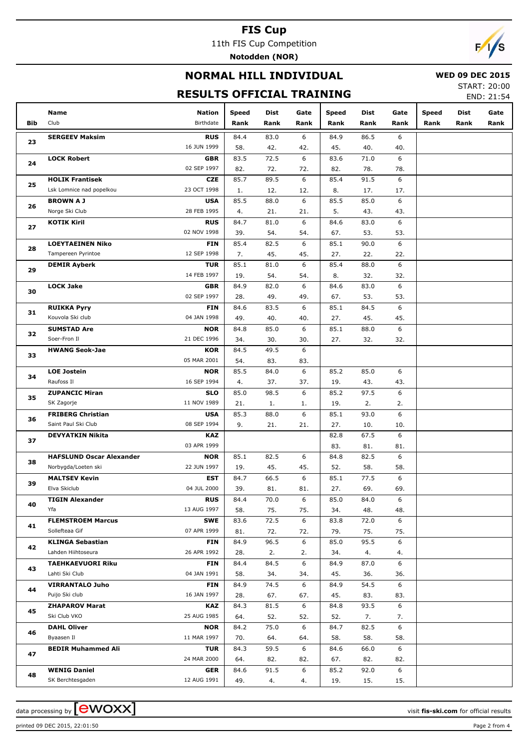11th FIS Cup Competition

**Notodden (NOR)**

# $\sqrt{ }$

## **NORMAL HILL INDIVIDUAL**

### **WED 09 DEC 2015**

## **RESULTS OFFICIAL TRAINING**

START: 20:00 END: 21:54

|     | Name                            | <b>Nation</b> | Speed       | Dist | Gate     | Speed | Dist | Gate     | <b>Speed</b> | Dist | Gate |
|-----|---------------------------------|---------------|-------------|------|----------|-------|------|----------|--------------|------|------|
| Bib | Club                            | Birthdate     | Rank        | Rank | Rank     | Rank  | Rank | Rank     | Rank         | Rank | Rank |
|     | <b>SERGEEV Maksim</b>           | <b>RUS</b>    | 84.4        | 83.0 | 6        | 84.9  | 86.5 | 6        |              |      |      |
| 23  |                                 | 16 JUN 1999   | 58.         | 42.  | 42.      | 45.   | 40.  | 40.      |              |      |      |
|     | <b>LOCK Robert</b>              | <b>GBR</b>    | 83.5        | 72.5 | 6        | 83.6  | 71.0 | 6        |              |      |      |
| 24  |                                 | 02 SEP 1997   | 82.         | 72.  | 72.      | 82.   | 78.  | 78.      |              |      |      |
|     | <b>HOLIK Frantisek</b>          | <b>CZE</b>    | 85.7        | 89.5 | 6        | 85.4  | 91.5 | 6        |              |      |      |
| 25  | Lsk Lomnice nad popelkou        | 23 OCT 1998   | 1.          | 12.  | 12.      | 8.    | 17.  | 17.      |              |      |      |
|     | <b>BROWN A J</b>                | <b>USA</b>    | 85.5        | 88.0 | 6        | 85.5  | 85.0 | 6        |              |      |      |
| 26  | Norge Ski Club                  | 28 FEB 1995   | 4.          | 21.  | 21.      | 5.    | 43.  | 43.      |              |      |      |
|     | KOTIK Kiril                     | <b>RUS</b>    | 84.7        | 81.0 | 6        | 84.6  | 83.0 | 6        |              |      |      |
| 27  |                                 | 02 NOV 1998   | 39.         | 54.  | 54.      | 67.   | 53.  | 53.      |              |      |      |
|     | <b>LOEYTAEINEN Niko</b>         | <b>FIN</b>    | 85.4        | 82.5 | 6        | 85.1  | 90.0 | 6        |              |      |      |
| 28  | Tampereen Pyrintoe              | 12 SEP 1998   | 7.          | 45.  | 45.      | 27.   | 22.  | 22.      |              |      |      |
|     | <b>DEMIR Ayberk</b>             | <b>TUR</b>    | 85.1        | 81.0 | 6        | 85.4  | 88.0 | 6        |              |      |      |
| 29  |                                 | 14 FEB 1997   | 19.         | 54.  | 54.      | 8.    | 32.  | 32.      |              |      |      |
|     | <b>LOCK Jake</b>                | <b>GBR</b>    | 84.9        | 82.0 | 6        | 84.6  | 83.0 | 6        |              |      |      |
| 30  |                                 | 02 SEP 1997   | 28.         | 49.  | 49.      | 67.   | 53.  | 53.      |              |      |      |
|     | <b>RUIKKA Pyry</b>              | <b>FIN</b>    | 84.6        | 83.5 | 6        | 85.1  | 84.5 | 6        |              |      |      |
| 31  | Kouvola Ski club                | 04 JAN 1998   | 49.         | 40.  | 40.      | 27.   | 45.  | 45.      |              |      |      |
|     | <b>SUMSTAD Are</b>              | <b>NOR</b>    | 84.8        | 85.0 | 6        | 85.1  | 88.0 | 6        |              |      |      |
| 32  | Soer-Fron II                    | 21 DEC 1996   | 34.         | 30.  |          | 27.   |      |          |              |      |      |
|     |                                 | <b>KOR</b>    | 84.5        | 49.5 | 30.<br>6 |       | 32.  | 32.      |              |      |      |
| 33  | <b>HWANG Seok-Jae</b>           | 05 MAR 2001   | 54.         | 83.  | 83.      |       |      |          |              |      |      |
|     | <b>LOE Jostein</b>              | <b>NOR</b>    | 85.5        | 84.0 | 6        | 85.2  | 85.0 | 6        |              |      |      |
| 34  | Raufoss II                      | 16 SEP 1994   | 4.          | 37.  | 37.      | 19.   | 43.  |          |              |      |      |
|     | <b>ZUPANCIC Miran</b>           | <b>SLO</b>    | 85.0        | 98.5 | 6        | 85.2  | 97.5 | 43.<br>6 |              |      |      |
| 35  | SK Zagorje                      | 11 NOV 1989   | 21.         | 1.   | 1.       | 19.   | 2.   | 2.       |              |      |      |
|     | <b>FRIBERG Christian</b>        | <b>USA</b>    | 85.3        | 88.0 | 6        | 85.1  | 93.0 | 6        |              |      |      |
| 36  | Saint Paul Ski Club             | 08 SEP 1994   | 9.          | 21.  | 21.      | 27.   | 10.  | 10.      |              |      |      |
|     | <b>DEVYATKIN Nikita</b>         | <b>KAZ</b>    |             |      |          | 82.8  | 67.5 | 6        |              |      |      |
| 37  |                                 | 03 APR 1999   |             |      |          | 83.   | 81.  | 81.      |              |      |      |
|     | <b>HAFSLUND Oscar Alexander</b> | <b>NOR</b>    | 85.1        | 82.5 | 6        | 84.8  | 82.5 | 6        |              |      |      |
| 38  | Norbygda/Loeten ski             | 22 JUN 1997   |             | 45.  | 45.      | 52.   | 58.  |          |              |      |      |
|     | <b>MALTSEV Kevin</b>            | <b>EST</b>    | 19.<br>84.7 | 66.5 | 6        | 85.1  | 77.5 | 58.<br>6 |              |      |      |
| 39  | Elva Skiclub                    | 04 JUL 2000   | 39.         | 81.  | 81.      | 27.   | 69.  | 69.      |              |      |      |
|     | <b>TIGIN Alexander</b>          | <b>RUS</b>    | 84.4        | 70.0 | 6        | 85.0  | 84.0 | 6        |              |      |      |
| 40  | Yfa                             | 13 AUG 1997   | 58.         | 75.  | 75.      | 34.   | 48.  | 48.      |              |      |      |
|     | <b>FLEMSTROEM Marcus</b>        | <b>SWE</b>    | 83.6        | 72.5 | 6        | 83.8  | 72.0 | 6        |              |      |      |
| 41  | Sollefteaa Gif                  | 07 APR 1999   | 81.         | 72.  | 72.      | 79.   | 75.  | 75.      |              |      |      |
|     | <b>KLINGA Sebastian</b>         | <b>FIN</b>    | 84.9        | 96.5 | 6        | 85.0  | 95.5 | 6        |              |      |      |
| 42  | Lahden Hiihtoseura              | 26 APR 1992   | 28.         | 2.   | 2.       | 34.   | 4.   | 4.       |              |      |      |
|     | <b>TAEHKAEVUORI Riku</b>        | <b>FIN</b>    | 84.4        | 84.5 | 6        | 84.9  | 87.0 | 6        |              |      |      |
| 43  | Lahti Ski Club                  | 04 JAN 1991   | 58.         | 34.  | 34.      | 45.   | 36.  | 36.      |              |      |      |
|     | <b>VIRRANTALO Juho</b>          | <b>FIN</b>    | 84.9        | 74.5 | 6        | 84.9  | 54.5 | 6        |              |      |      |
| 44  | Puijo Ski club                  | 16 JAN 1997   | 28.         | 67.  | 67.      | 45.   | 83.  | 83.      |              |      |      |
|     | <b>ZHAPAROV Marat</b>           | <b>KAZ</b>    | 84.3        | 81.5 | 6        | 84.8  | 93.5 | 6        |              |      |      |
| 45  | Ski Club VKO                    | 25 AUG 1985   | 64.         | 52.  | 52.      | 52.   | 7.   | 7.       |              |      |      |
|     | <b>DAHL Oliver</b>              | <b>NOR</b>    | 84.2        | 75.0 | 6        | 84.7  | 82.5 | 6        |              |      |      |
| 46  | Byaasen Il                      | 11 MAR 1997   | 70.         | 64.  | 64.      | 58.   | 58.  | 58.      |              |      |      |
|     | <b>BEDIR Muhammed Ali</b>       | <b>TUR</b>    | 84.3        | 59.5 | 6        | 84.6  | 66.0 | 6        |              |      |      |
| 47  |                                 | 24 MAR 2000   | 64.         | 82.  | 82.      | 67.   | 82.  | 82.      |              |      |      |
|     | <b>WENIG Daniel</b>             | <b>GER</b>    | 84.6        | 91.5 | 6        | 85.2  | 92.0 | 6        |              |      |      |
| 48  | SK Berchtesgaden                | 12 AUG 1991   |             |      |          |       |      |          |              |      |      |
|     |                                 |               | 49.         | 4.   | 4.       | 19.   | 15.  | 15.      |              |      |      |

printed 09 DEC 2015, 22:01:50 Page 2 from 4

data processing by **CWOXX**  $\blacksquare$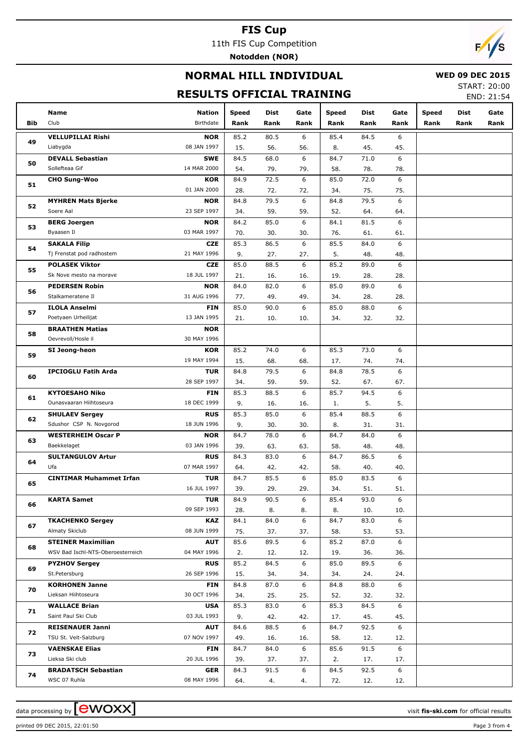11th FIS Cup Competition

**Notodden (NOR)**

# $\sqrt{2}$

## **NORMAL HILL INDIVIDUAL**

### **WED 09 DEC 2015**

## **RESULTS OFFICIAL TRAINING**

START: 20:00 END: 21:54

|          | Name                              | <b>Nation</b>             | <b>Speed</b> | Dist        | Gate     | Speed       | <b>Dist</b> | Gate     | <b>Speed</b> | <b>Dist</b> | Gate |
|----------|-----------------------------------|---------------------------|--------------|-------------|----------|-------------|-------------|----------|--------------|-------------|------|
| Bib      | Club                              | Birthdate                 | Rank         | Rank        | Rank     | Rank        | Rank        | Rank     | Rank         | Rank        | Rank |
|          | <b>VELLUPILLAI Rishi</b>          | <b>NOR</b>                | 85.2         | 80.5        | 6        | 85.4        | 84.5        | 6        |              |             |      |
| 49       | Liabygda                          | 08 JAN 1997               | 15.          | 56.         | 56.      | 8.          | 45.         | 45.      |              |             |      |
|          | <b>DEVALL Sebastian</b>           | <b>SWE</b>                | 84.5         | 68.0        | 6        | 84.7        | 71.0        | 6        |              |             |      |
| 50       | Sollefteaa Gif                    | 14 MAR 2000               | 54.          | 79.         | 79.      | 58.         | 78.         | 78.      |              |             |      |
|          | <b>CHO Sung-Woo</b>               | <b>KOR</b>                | 84.9         | 72.5        | 6        | 85.0        | 72.0        | 6        |              |             |      |
| 51       |                                   | 01 JAN 2000               | 28.          | 72.         | 72.      | 34.         | 75.         | 75.      |              |             |      |
|          | <b>MYHREN Mats Bjerke</b>         | <b>NOR</b>                | 84.8         | 79.5        | 6        | 84.8        | 79.5        | 6        |              |             |      |
| 52       | Soere Aal                         | 23 SEP 1997               | 34.          | 59.         | 59.      | 52.         | 64.         | 64.      |              |             |      |
|          | <b>BERG Joergen</b>               | <b>NOR</b>                | 84.2         | 85.0        | 6        | 84.1        | 81.5        | 6        |              |             |      |
| 53       | Byaasen Il                        | 03 MAR 1997               | 70.          | 30.         | 30.      | 76.         | 61.         | 61.      |              |             |      |
| 54       | <b>SAKALA Filip</b>               | <b>CZE</b>                | 85.3         | 86.5        | 6        | 85.5        | 84.0        | 6        |              |             |      |
|          | Tj Frenstat pod radhostem         | 21 MAY 1996               | 9.           | 27.         | 27.      | 5.          | 48.         | 48.      |              |             |      |
| 55       | <b>POLASEK Viktor</b>             | <b>CZE</b>                | 85.0         | 88.5        | 6        | 85.2        | 89.0        | 6        |              |             |      |
|          | Sk Nove mesto na morave           | 18 JUL 1997               | 21.          | 16.         | 16.      | 19.         | 28.         | 28.      |              |             |      |
| 56       | <b>PEDERSEN Robin</b>             | <b>NOR</b>                | 84.0         | 82.0        | 6        | 85.0        | 89.0        | 6        |              |             |      |
|          | Stalkameratene II                 | 31 AUG 1996               | 77.          | 49.         | 49.      | 34.         | 28.         | 28.      |              |             |      |
| 57       | <b>ILOLA Anselmi</b>              | <b>FIN</b>                | 85.0         | 90.0        | 6        | 85.0        | 88.0        | 6        |              |             |      |
|          | Poetyaen Urheilijat               | 13 JAN 1995               | 21.          | 10.         | 10.      | 34.         | 32.         | 32.      |              |             |      |
| 58       | <b>BRAATHEN Matias</b>            | <b>NOR</b>                |              |             |          |             |             |          |              |             |      |
|          | Oevrevoll/Hosle il                | 30 MAY 1996               |              |             |          |             |             |          |              |             |      |
| 59       | SI Jeong-heon                     | KOR                       | 85.2         | 74.0        | 6        | 85.3        | 73.0        | 6        |              |             |      |
| 60<br>61 |                                   | 19 MAY 1994               | 15.          | 68.         | 68.      | 17.         | 74.         | 74.      |              |             |      |
|          | <b>IPCIOGLU Fatih Arda</b>        | <b>TUR</b>                | 84.8         | 79.5        | 6        | 84.8        | 78.5        | 6        |              |             |      |
|          |                                   | 28 SEP 1997               | 34.          | 59.         | 59.      | 52.         | 67.         | 67.      |              |             |      |
|          | <b>KYTOESAHO Niko</b>             | <b>FIN</b>                | 85.3         | 88.5        | 6        | 85.7        | 94.5        | 6        |              |             |      |
|          | Ounasvaaran Hiihtoseura           | 18 DEC 1999               | 9.           | 16.         | 16.      | 1.          | 5.          | 5.       |              |             |      |
| 62       | <b>SHULAEV Sergey</b>             | <b>RUS</b>                | 85.3         | 85.0        | 6        | 85.4        | 88.5        | 6        |              |             |      |
|          | Sdushor CSP N. Novgorod           | 18 JUN 1996               | 9.           | 30.         | 30.      | 8.          | 31.         | 31.      |              |             |      |
| 63       | <b>WESTERHEIM Oscar P</b>         | <b>NOR</b>                | 84.7         | 78.0        | 6        | 84.7        | 84.0        | 6        |              |             |      |
|          | Baekkelaget                       | 03 JAN 1996               | 39.          | 63.         | 63.      | 58.         | 48.         | 48.      |              |             |      |
| 64       | <b>SULTANGULOV Artur</b><br>Ufa   | <b>RUS</b><br>07 MAR 1997 | 84.3         | 83.0        | 6        | 84.7        | 86.5        | 6        |              |             |      |
|          |                                   |                           | 64.          | 42.<br>85.5 | 42.<br>6 | 58.         | 40.<br>83.5 | 40.<br>6 |              |             |      |
| 65       | <b>CINTIMAR Muhammet Irfan</b>    | <b>TUR</b><br>16 JUL 1997 | 84.7<br>39.  | 29.         | 29.      | 85.0<br>34. | 51.         | 51.      |              |             |      |
|          | <b>KARTA Samet</b>                | <b>TUR</b>                | 84.9         | 90.5        | 6        | 85.4        | 93.0        | 6        |              |             |      |
| 66       |                                   | 09 SEP 1993               | 28.          | 8.          | 8.       | 8.          | 10.         | 10.      |              |             |      |
|          | <b>TKACHENKO Sergey</b>           | <b>KAZ</b>                | 84.1         | 84.0        | 6        | 84.7        | 83.0        | 6        |              |             |      |
| 67       | Almaty Skiclub                    | 08 JUN 1999               | 75.          | 37.         | 37.      | 58.         | 53.         | 53.      |              |             |      |
|          | <b>STEINER Maximilian</b>         | <b>AUT</b>                | 85.6         | 89.5        | 6        | 85.2        | 87.0        | 6        |              |             |      |
| 68       | WSV Bad Ischl-NTS-Oberoesterreich | 04 MAY 1996               | 2.           | 12.         | 12.      | 19.         | 36.         | 36.      |              |             |      |
|          | <b>PYZHOV Sergey</b>              | <b>RUS</b>                | 85.2         | 84.5        | 6        | 85.0        | 89.5        | 6        |              |             |      |
| 69       | St.Petersburg                     | 26 SEP 1996               | 15.          | 34.         | 34.      | 34.         | 24.         | 24.      |              |             |      |
|          | <b>KORHONEN Janne</b>             | FIN                       | 84.8         | 87.0        | 6        | 84.8        | 88.0        | 6        |              |             |      |
| 70       | Lieksan Hiihtoseura               | 30 OCT 1996               | 34.          | 25.         | 25.      | 52.         | 32.         | 32.      |              |             |      |
|          | <b>WALLACE Brian</b>              | USA                       | 85.3         | 83.0        | 6        | 85.3        | 84.5        | 6        |              |             |      |
| 71       | Saint Paul Ski Club               | 03 JUL 1993               | 9.           | 42.         | 42.      | 17.         | 45.         | 45.      |              |             |      |
|          | <b>REISENAUER Janni</b>           | <b>AUT</b>                | 84.6         | 88.5        | 6        | 84.7        | 92.5        | 6        |              |             |      |
| 72       | TSU St. Veit-Salzburg             | 07 NOV 1997               | 49.          | 16.         | 16.      | 58.         | 12.         | 12.      |              |             |      |
|          | <b>VAENSKAE Elias</b>             | FIN                       | 84.7         | 84.0        | 6        | 85.6        | 91.5        | 6        |              |             |      |
| 73       | Lieksa Ski club                   | 20 JUL 1996               | 39.          | 37.         | 37.      | 2.          | 17.         | 17.      |              |             |      |
|          | <b>BRADATSCH Sebastian</b>        | <b>GER</b>                | 84.3         | 91.5        | 6        | 84.5        | 92.5        | 6        |              |             |      |
| 74       | WSC 07 Ruhla                      | 08 MAY 1996               | 64.          | 4.          | 4.       | 72.         | 12.         | 12.      |              |             |      |

data processing by **CWOXX** and  $\overline{C}$  and  $\overline{C}$  and  $\overline{C}$  and  $\overline{C}$  and  $\overline{C}$  and  $\overline{C}$  and  $\overline{C}$  and  $\overline{C}$  and  $\overline{C}$  and  $\overline{C}$  and  $\overline{C}$  and  $\overline{C}$  and  $\overline{C}$  and  $\overline{C}$  and  $\overline{C}$ 

printed 09 DEC 2015, 22:01:50 Page 3 from 4